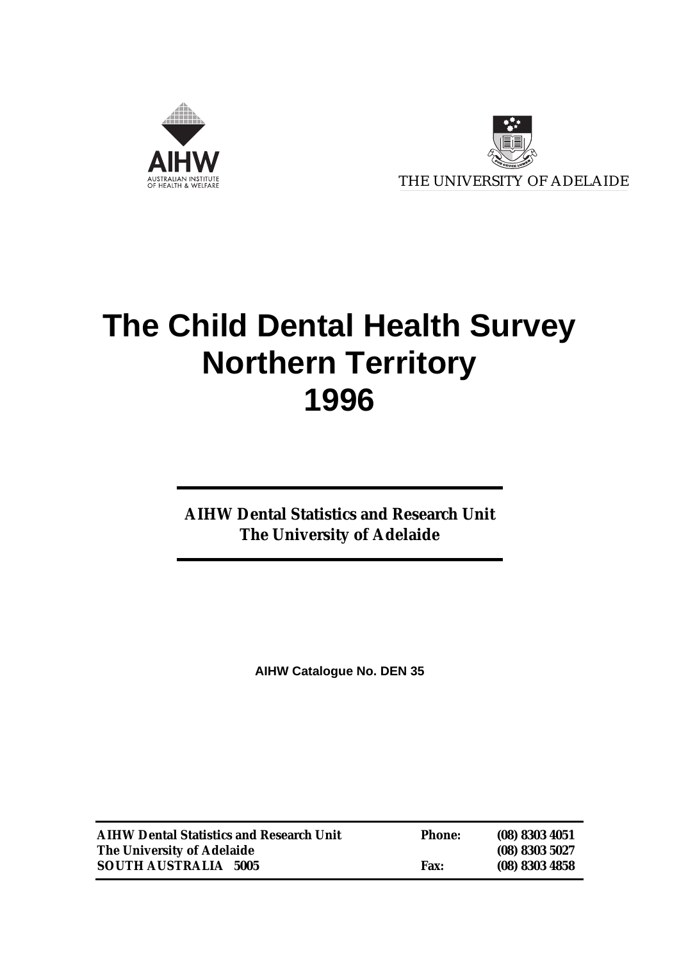



# **The Child Dental Health Survey Northern Territory 1996**

**AIHW Dental Statistics and Research Unit The University of Adelaide**

**AIHW Catalogue No. DEN 35**

| <b>AIHW Dental Statistics and Research Unit</b> | <b>Phone:</b> | $(08)$ 8303 4051 |
|-------------------------------------------------|---------------|------------------|
| The University of Adelaide                      |               | (08) 8303 5027   |
| <b>SOUTH AUSTRALIA 5005</b>                     | <b>Fax:</b>   | (08) 8303 4858   |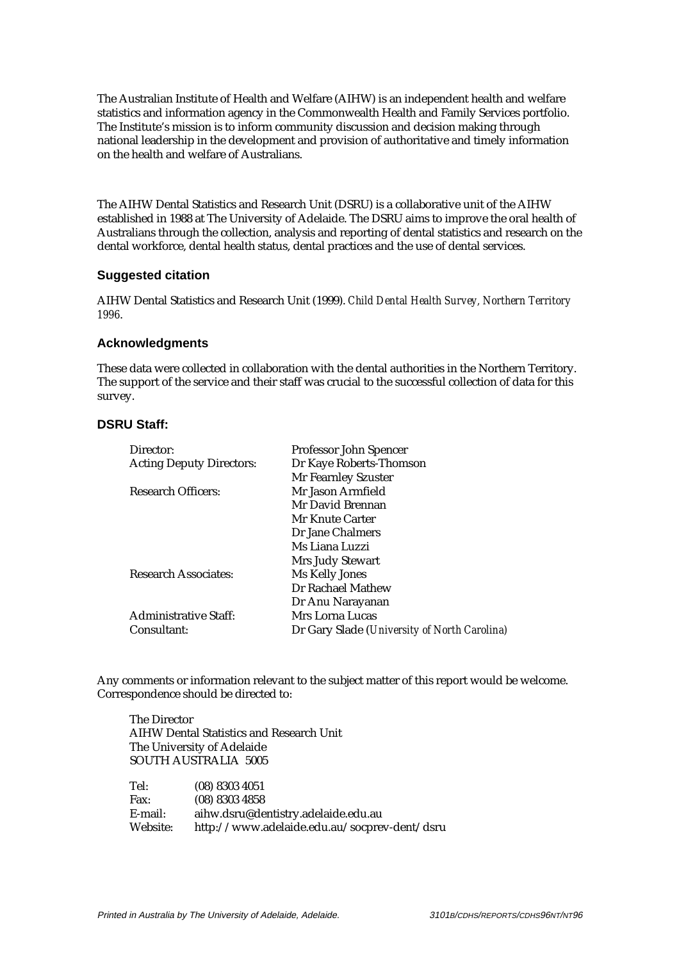The Australian Institute of Health and Welfare (AIHW) is an independent health and welfare statistics and information agency in the Commonwealth Health and Family Services portfolio. The Institute's mission is to inform community discussion and decision making through national leadership in the development and provision of authoritative and timely information on the health and welfare of Australians.

The AIHW Dental Statistics and Research Unit (DSRU) is a collaborative unit of the AIHW established in 1988 at The University of Adelaide. The DSRU aims to improve the oral health of Australians through the collection, analysis and reporting of dental statistics and research on the dental workforce, dental health status, dental practices and the use of dental services.

#### **Suggested citation**

AIHW Dental Statistics and Research Unit (1999). *Child Dental Health Survey, Northern Territory 1996*.

#### **Acknowledgments**

These data were collected in collaboration with the dental authorities in the Northern Territory. The support of the service and their staff was crucial to the successful collection of data for this survey.

#### **DSRU Staff:**

| Professor John Spencer                       |
|----------------------------------------------|
| Dr Kaye Roberts-Thomson                      |
| Mr Fearnley Szuster                          |
| Mr Jason Armfield                            |
| Mr David Brennan                             |
| Mr Knute Carter                              |
| Dr Jane Chalmers                             |
| Ms Liana Luzzi                               |
| Mrs Judy Stewart                             |
| Ms Kelly Jones                               |
| Dr Rachael Mathew                            |
| Dr Anu Narayanan                             |
| Mrs Lorna Lucas                              |
| Dr Gary Slade (University of North Carolina) |
|                                              |

Any comments or information relevant to the subject matter of this report would be welcome. Correspondence should be directed to:

The Director AIHW Dental Statistics and Research Unit The University of Adelaide SOUTH AUSTRALIA 5005

| Tel:     | $(08)$ 8303 4051                             |
|----------|----------------------------------------------|
| Fax:     | $(08)$ 8303 4858                             |
| E-mail:  | aihw.dsru@dentistry.adelaide.edu.au          |
| Website: | http://www.adelaide.edu.au/socprev-dent/dsru |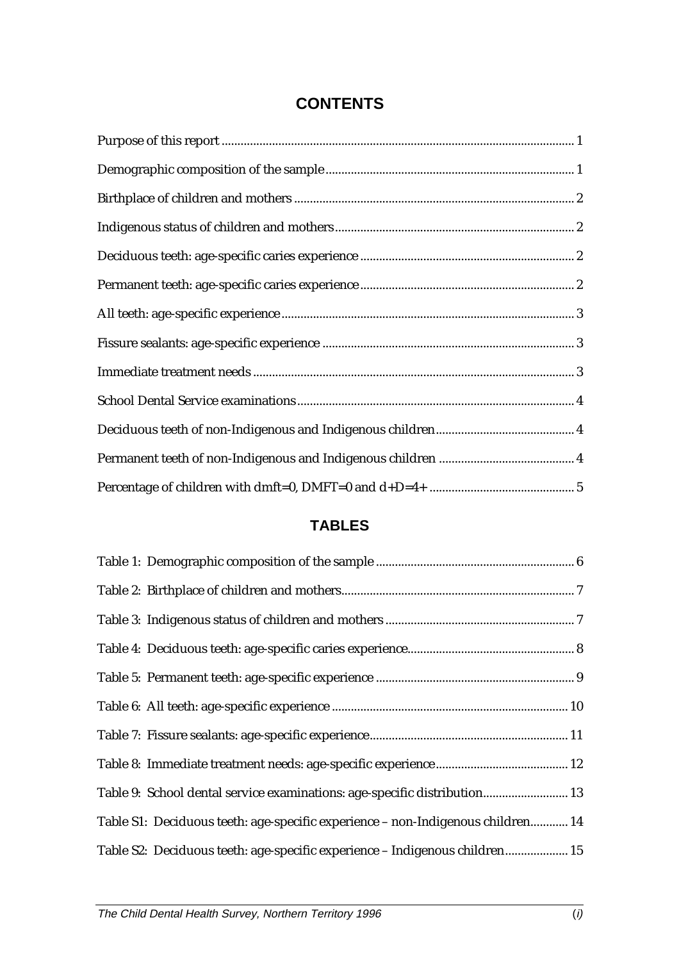## **CONTENTS**

## **TABLES**

| Table 9: School dental service examinations: age-specific distribution 13       |
|---------------------------------------------------------------------------------|
| Table S1: Deciduous teeth: age-specific experience - non-Indigenous children 14 |
| Table S2: Deciduous teeth: age-specific experience - Indigenous children 15     |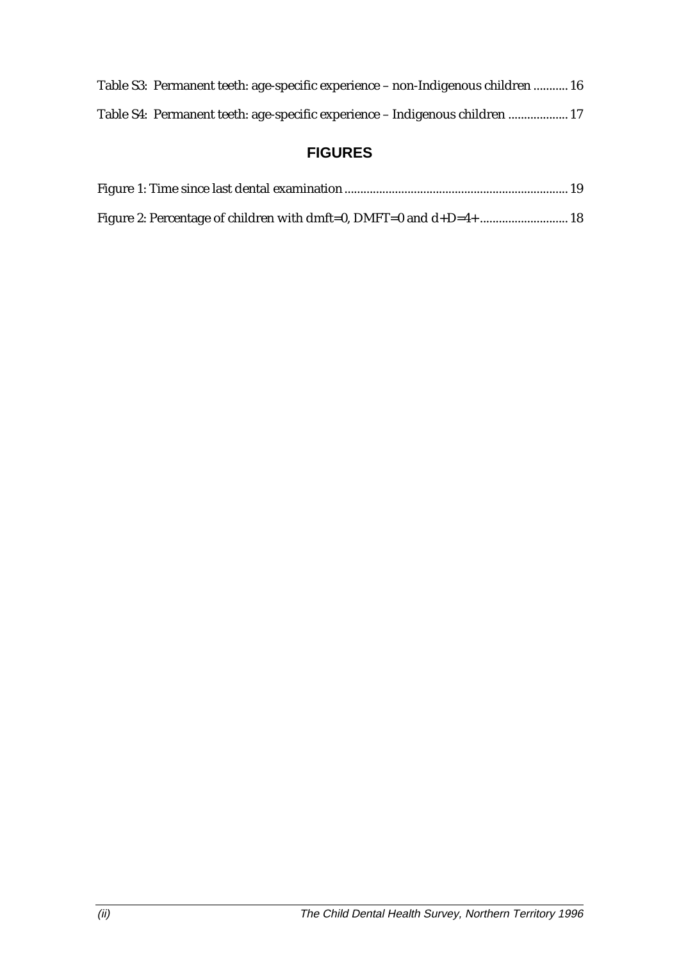| Table S3: Permanent teeth: age-specific experience – non-Indigenous children  16 |  |
|----------------------------------------------------------------------------------|--|
| Table S4: Permanent teeth: age-specific experience - Indigenous children  17     |  |

## **FIGURES**

| Figure 2: Percentage of children with dmft=0, DMFT=0 and d+D=4+  18 |  |
|---------------------------------------------------------------------|--|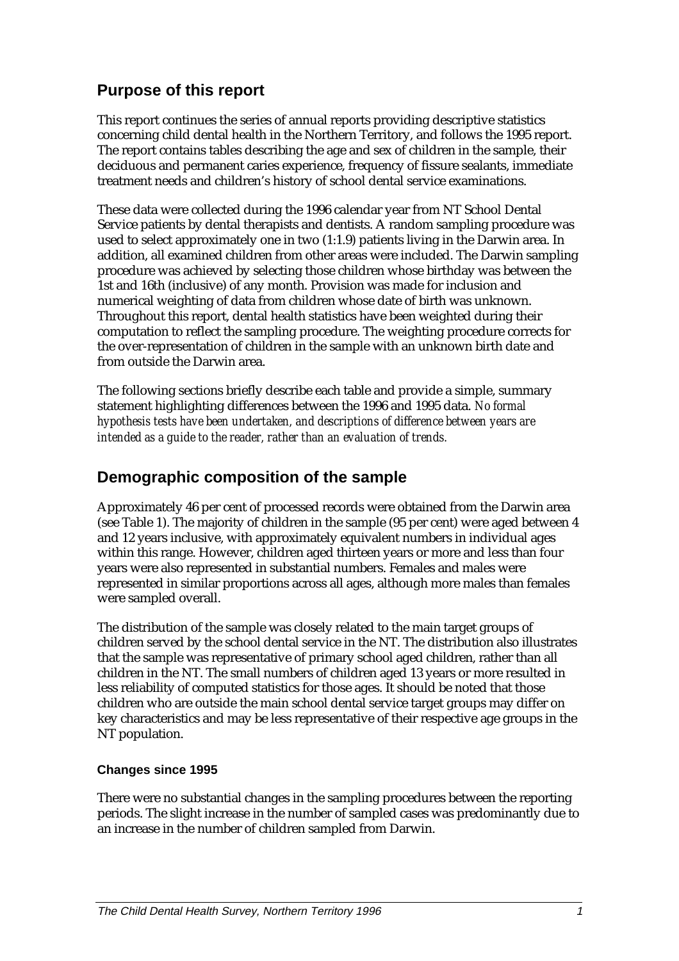## **Purpose of this report**

This report continues the series of annual reports providing descriptive statistics concerning child dental health in the Northern Territory, and follows the 1995 report. The report contains tables describing the age and sex of children in the sample, their deciduous and permanent caries experience, frequency of fissure sealants, immediate treatment needs and children's history of school dental service examinations.

These data were collected during the 1996 calendar year from NT School Dental Service patients by dental therapists and dentists. A random sampling procedure was used to select approximately one in two (1:1.9) patients living in the Darwin area. In addition, all examined children from other areas were included. The Darwin sampling procedure was achieved by selecting those children whose birthday was between the 1st and 16th (inclusive) of any month. Provision was made for inclusion and numerical weighting of data from children whose date of birth was unknown. Throughout this report, dental health statistics have been weighted during their computation to reflect the sampling procedure. The weighting procedure corrects for the over-representation of children in the sample with an unknown birth date and from outside the Darwin area.

The following sections briefly describe each table and provide a simple, summary statement highlighting differences between the 1996 and 1995 data. *No formal hypothesis tests have been undertaken, and descriptions of difference between years are intended as a guide to the reader, rather than an evaluation of trends.*

## **Demographic composition of the sample**

Approximately 46 per cent of processed records were obtained from the Darwin area (see Table 1). The majority of children in the sample (95 per cent) were aged between 4 and 12 years inclusive, with approximately equivalent numbers in individual ages within this range. However, children aged thirteen years or more and less than four years were also represented in substantial numbers. Females and males were represented in similar proportions across all ages, although more males than females were sampled overall.

The distribution of the sample was closely related to the main target groups of children served by the school dental service in the NT. The distribution also illustrates that the sample was representative of primary school aged children, rather than all children in the NT. The small numbers of children aged 13 years or more resulted in less reliability of computed statistics for those ages. It should be noted that those children who are outside the main school dental service target groups may differ on key characteristics and may be less representative of their respective age groups in the NT population.

#### **Changes since 1995**

There were no substantial changes in the sampling procedures between the reporting periods. The slight increase in the number of sampled cases was predominantly due to an increase in the number of children sampled from Darwin.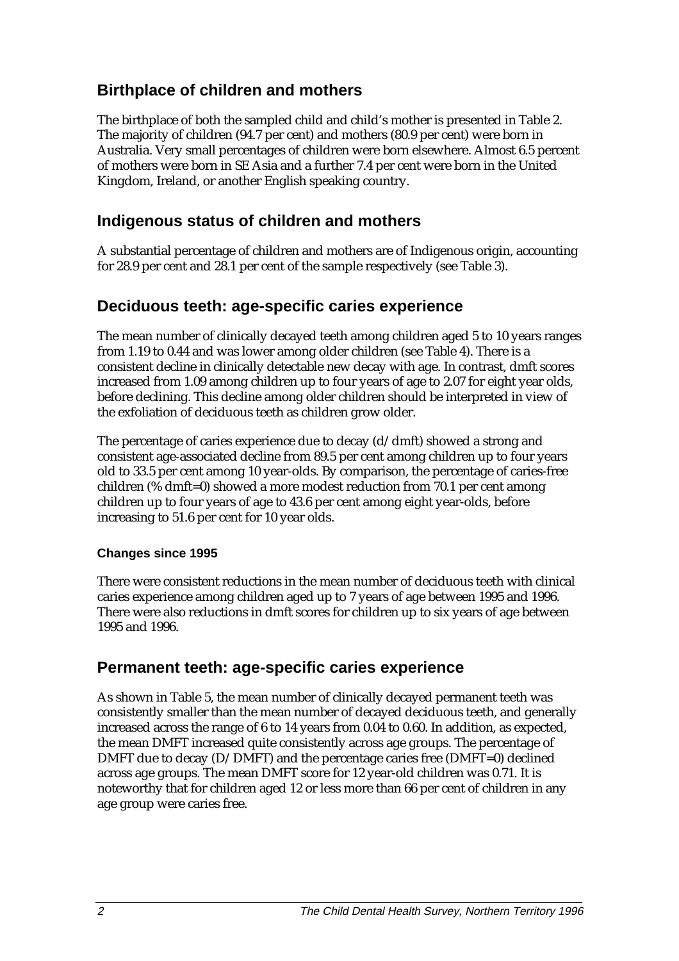## **Birthplace of children and mothers**

The birthplace of both the sampled child and child's mother is presented in Table 2. The majority of children (94.7 per cent) and mothers (80.9 per cent) were born in Australia. Very small percentages of children were born elsewhere. Almost 6.5 percent of mothers were born in SE Asia and a further 7.4 per cent were born in the United Kingdom, Ireland, or another English speaking country.

## **Indigenous status of children and mothers**

A substantial percentage of children and mothers are of Indigenous origin, accounting for 28.9 per cent and 28.1 per cent of the sample respectively (see Table 3).

## **Deciduous teeth: age-specific caries experience**

The mean number of clinically decayed teeth among children aged 5 to 10 years ranges from 1.19 to 0.44 and was lower among older children (see Table 4). There is a consistent decline in clinically detectable new decay with age. In contrast, dmft scores increased from 1.09 among children up to four years of age to 2.07 for eight year olds, before declining. This decline among older children should be interpreted in view of the exfoliation of deciduous teeth as children grow older.

The percentage of caries experience due to decay  $(d/dmft)$  showed a strong and consistent age-associated decline from 89.5 per cent among children up to four years old to 33.5 per cent among 10 year-olds. By comparison, the percentage of caries-free children (% dmft=0) showed a more modest reduction from 70.1 per cent among children up to four years of age to 43.6 per cent among eight year-olds, before increasing to 51.6 per cent for 10 year olds.

#### **Changes since 1995**

There were consistent reductions in the mean number of deciduous teeth with clinical caries experience among children aged up to 7 years of age between 1995 and 1996. There were also reductions in dmft scores for children up to six years of age between 1995 and 1996.

### **Permanent teeth: age-specific caries experience**

As shown in Table 5, the mean number of clinically decayed permanent teeth was consistently smaller than the mean number of decayed deciduous teeth, and generally increased across the range of 6 to 14 years from 0.04 to 0.60. In addition, as expected, the mean DMFT increased quite consistently across age groups. The percentage of DMFT due to decay  $(D/DMFT)$  and the percentage caries free  $(DMFT=0)$  declined across age groups. The mean DMFT score for 12 year-old children was 0.71. It is noteworthy that for children aged 12 or less more than 66 per cent of children in any age group were caries free.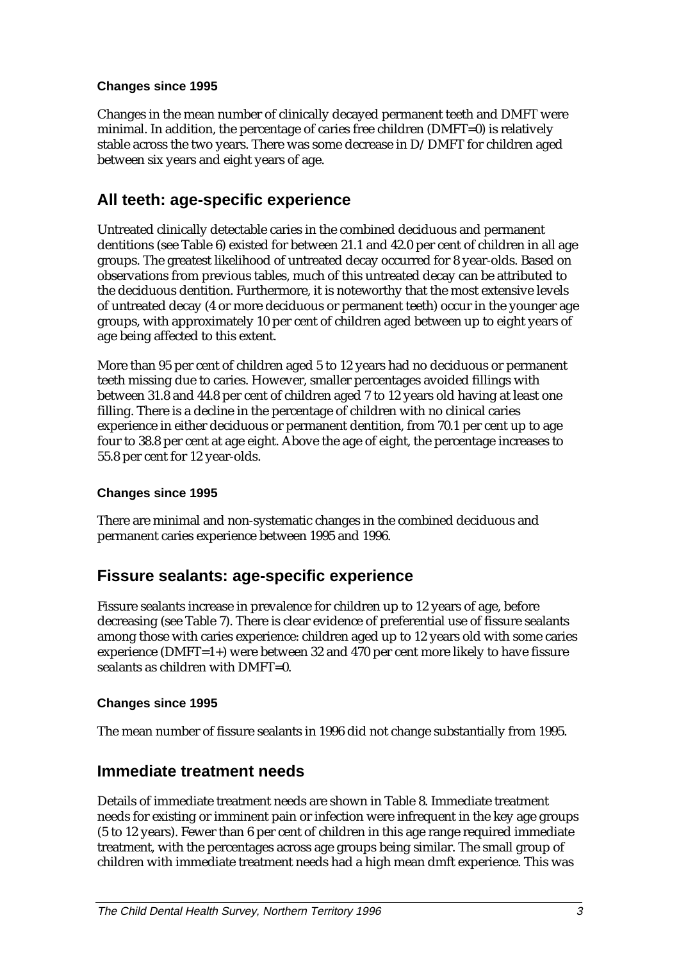#### **Changes since 1995**

Changes in the mean number of clinically decayed permanent teeth and DMFT were minimal. In addition, the percentage of caries free children (DMFT=0) is relatively stable across the two years. There was some decrease in D/DMFT for children aged between six years and eight years of age.

## **All teeth: age-specific experience**

Untreated clinically detectable caries in the combined deciduous and permanent dentitions (see Table 6) existed for between 21.1 and 42.0 per cent of children in all age groups. The greatest likelihood of untreated decay occurred for 8 year-olds. Based on observations from previous tables, much of this untreated decay can be attributed to the deciduous dentition. Furthermore, it is noteworthy that the most extensive levels of untreated decay (4 or more deciduous or permanent teeth) occur in the younger age groups, with approximately 10 per cent of children aged between up to eight years of age being affected to this extent.

More than 95 per cent of children aged 5 to 12 years had no deciduous or permanent teeth missing due to caries. However, smaller percentages avoided fillings with between 31.8 and 44.8 per cent of children aged 7 to 12 years old having at least one filling. There is a decline in the percentage of children with no clinical caries experience in either deciduous or permanent dentition, from 70.1 per cent up to age four to 38.8 per cent at age eight. Above the age of eight, the percentage increases to 55.8 per cent for 12 year-olds.

#### **Changes since 1995**

There are minimal and non-systematic changes in the combined deciduous and permanent caries experience between 1995 and 1996.

### **Fissure sealants: age-specific experience**

Fissure sealants increase in prevalence for children up to 12 years of age, before decreasing (see Table 7). There is clear evidence of preferential use of fissure sealants among those with caries experience: children aged up to 12 years old with some caries experience (DMFT=1+) were between 32 and 470 per cent more likely to have fissure sealants as children with DMFT=0.

#### **Changes since 1995**

The mean number of fissure sealants in 1996 did not change substantially from 1995.

#### **Immediate treatment needs**

Details of immediate treatment needs are shown in Table 8. Immediate treatment needs for existing or imminent pain or infection were infrequent in the key age groups (5 to 12 years). Fewer than 6 per cent of children in this age range required immediate treatment, with the percentages across age groups being similar. The small group of children with immediate treatment needs had a high mean dmft experience. This was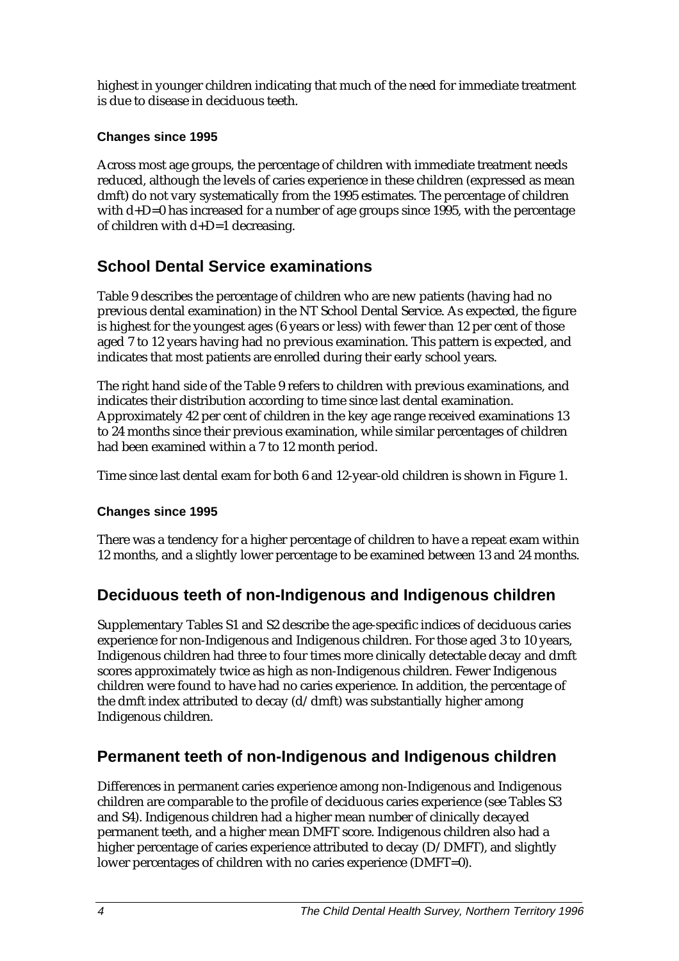highest in younger children indicating that much of the need for immediate treatment is due to disease in deciduous teeth.

#### **Changes since 1995**

Across most age groups, the percentage of children with immediate treatment needs reduced, although the levels of caries experience in these children (expressed as mean dmft) do not vary systematically from the 1995 estimates. The percentage of children with  $d+D=0$  has increased for a number of age groups since 1995, with the percentage of children with d+D=1 decreasing.

## **School Dental Service examinations**

Table 9 describes the percentage of children who are new patients (having had no previous dental examination) in the NT School Dental Service. As expected, the figure is highest for the youngest ages (6 years or less) with fewer than 12 per cent of those aged 7 to 12 years having had no previous examination. This pattern is expected, and indicates that most patients are enrolled during their early school years.

The right hand side of the Table 9 refers to children with previous examinations, and indicates their distribution according to time since last dental examination. Approximately 42 per cent of children in the key age range received examinations 13 to 24 months since their previous examination, while similar percentages of children had been examined within a 7 to 12 month period.

Time since last dental exam for both 6 and 12-year-old children is shown in Figure 1.

#### **Changes since 1995**

There was a tendency for a higher percentage of children to have a repeat exam within 12 months, and a slightly lower percentage to be examined between 13 and 24 months.

## **Deciduous teeth of non-Indigenous and Indigenous children**

Supplementary Tables S1 and S2 describe the age-specific indices of deciduous caries experience for non-Indigenous and Indigenous children. For those aged 3 to 10 years, Indigenous children had three to four times more clinically detectable decay and dmft scores approximately twice as high as non-Indigenous children. Fewer Indigenous children were found to have had no caries experience. In addition, the percentage of the dmft index attributed to decay (d/dmft) was substantially higher among Indigenous children.

## **Permanent teeth of non-Indigenous and Indigenous children**

Differences in permanent caries experience among non-Indigenous and Indigenous children are comparable to the profile of deciduous caries experience (see Tables S3 and S4). Indigenous children had a higher mean number of clinically decayed permanent teeth, and a higher mean DMFT score. Indigenous children also had a higher percentage of caries experience attributed to decay (D/DMFT), and slightly lower percentages of children with no caries experience (DMFT=0).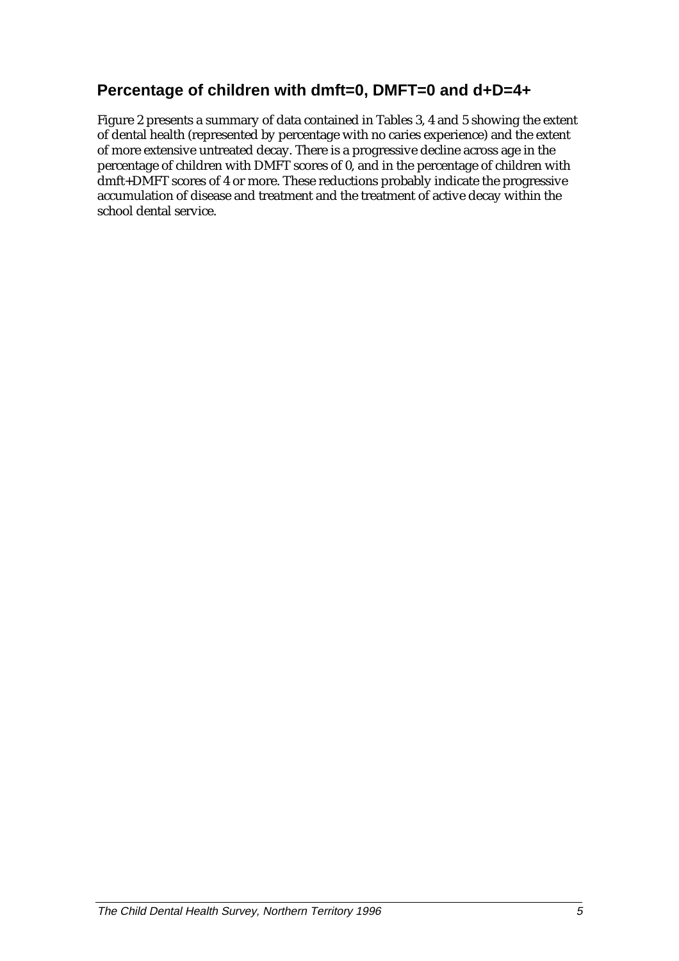## **Percentage of children with dmft=0, DMFT=0 and d+D=4+**

Figure 2 presents a summary of data contained in Tables 3, 4 and 5 showing the extent of dental health (represented by percentage with no caries experience) and the extent of more extensive untreated decay. There is a progressive decline across age in the percentage of children with DMFT scores of 0, and in the percentage of children with dmft+DMFT scores of 4 or more. These reductions probably indicate the progressive accumulation of disease and treatment and the treatment of active decay within the school dental service.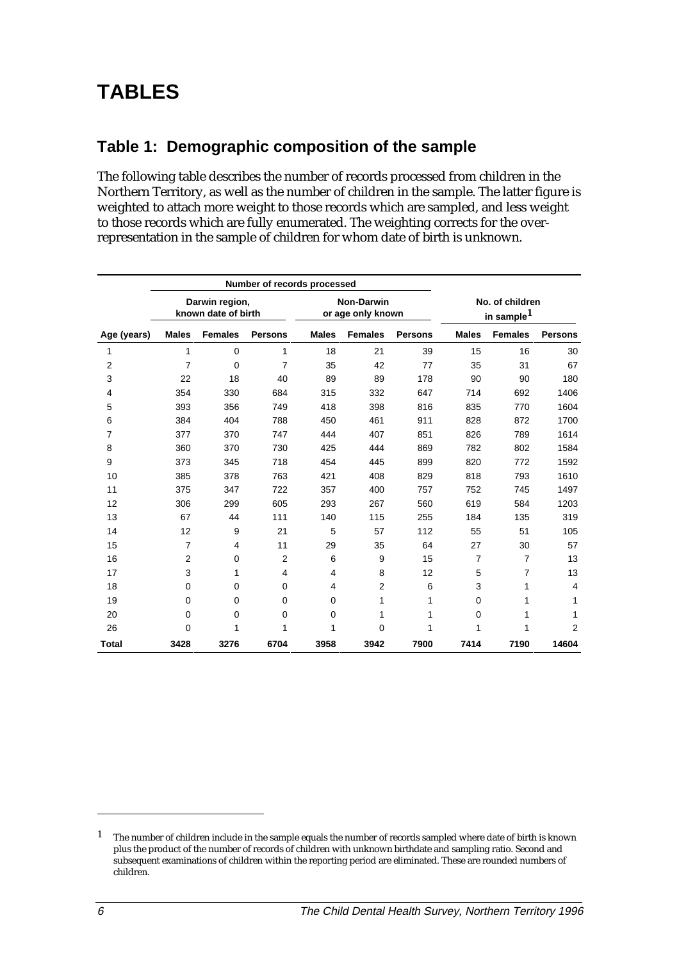## **TABLES**

## **Table 1: Demographic composition of the sample**

The following table describes the number of records processed from children in the Northern Territory, as well as the number of children in the sample. The latter figure is weighted to attach more weight to those records which are sampled, and less weight to those records which are fully enumerated. The weighting corrects for the overrepresentation in the sample of children for whom date of birth is unknown.

|                |                                       |                | Number of records processed |                                        |                |                |                                           |                |                |
|----------------|---------------------------------------|----------------|-----------------------------|----------------------------------------|----------------|----------------|-------------------------------------------|----------------|----------------|
|                | Darwin region,<br>known date of birth |                |                             | <b>Non-Darwin</b><br>or age only known |                |                | No. of children<br>in sample <sup>1</sup> |                |                |
| Age (years)    | <b>Males</b>                          | <b>Females</b> | <b>Persons</b>              | <b>Males</b>                           | <b>Females</b> | <b>Persons</b> | <b>Males</b>                              | <b>Females</b> | <b>Persons</b> |
| 1              | 1                                     | $\Omega$       | 1                           | 18                                     | 21             | 39             | 15                                        | 16             | 30             |
| $\overline{2}$ | $\overline{7}$                        | $\mathbf 0$    | $\overline{7}$              | 35                                     | 42             | 77             | 35                                        | 31             | 67             |
| 3              | 22                                    | 18             | 40                          | 89                                     | 89             | 178            | 90                                        | 90             | 180            |
| 4              | 354                                   | 330            | 684                         | 315                                    | 332            | 647            | 714                                       | 692            | 1406           |
| 5              | 393                                   | 356            | 749                         | 418                                    | 398            | 816            | 835                                       | 770            | 1604           |
| 6              | 384                                   | 404            | 788                         | 450                                    | 461            | 911            | 828                                       | 872            | 1700           |
| 7              | 377                                   | 370            | 747                         | 444                                    | 407            | 851            | 826                                       | 789            | 1614           |
| 8              | 360                                   | 370            | 730                         | 425                                    | 444            | 869            | 782                                       | 802            | 1584           |
| 9              | 373                                   | 345            | 718                         | 454                                    | 445            | 899            | 820                                       | 772            | 1592           |
| 10             | 385                                   | 378            | 763                         | 421                                    | 408            | 829            | 818                                       | 793            | 1610           |
| 11             | 375                                   | 347            | 722                         | 357                                    | 400            | 757            | 752                                       | 745            | 1497           |
| 12             | 306                                   | 299            | 605                         | 293                                    | 267            | 560            | 619                                       | 584            | 1203           |
| 13             | 67                                    | 44             | 111                         | 140                                    | 115            | 255            | 184                                       | 135            | 319            |
| 14             | 12                                    | 9              | 21                          | 5                                      | 57             | 112            | 55                                        | 51             | 105            |
| 15             | $\overline{7}$                        | 4              | 11                          | 29                                     | 35             | 64             | 27                                        | 30             | 57             |
| 16             | $\overline{2}$                        | 0              | $\overline{2}$              | 6                                      | 9              | 15             | $\overline{7}$                            | $\overline{7}$ | 13             |
| 17             | 3                                     | 1              | 4                           | 4                                      | 8              | 12             | 5                                         | $\overline{7}$ | 13             |
| 18             | $\mathbf 0$                           | $\Omega$       | $\Omega$                    | 4                                      | $\overline{2}$ | 6              | 3                                         | 1              | 4              |
| 19             | $\mathbf 0$                           | $\Omega$       | $\Omega$                    | 0                                      | 1              | 1              | $\Omega$                                  | 1              | 1              |
| 20             | $\mathbf 0$                           | 0              | 0                           | $\mathbf 0$                            | 1              | 1              | $\mathbf 0$                               | 1              | 1              |
| 26             | $\mathbf 0$                           | 1              | 1                           | 1                                      | 0              | 1              | 1                                         | 1              | $\overline{2}$ |
| <b>Total</b>   | 3428                                  | 3276           | 6704                        | 3958                                   | 3942           | 7900           | 7414                                      | 7190           | 14604          |

j

 $1$  The number of children include in the sample equals the number of records sampled where date of birth is known plus the product of the number of records of children with unknown birthdate and sampling ratio. Second and subsequent examinations of children within the reporting period are eliminated. These are rounded numbers of children.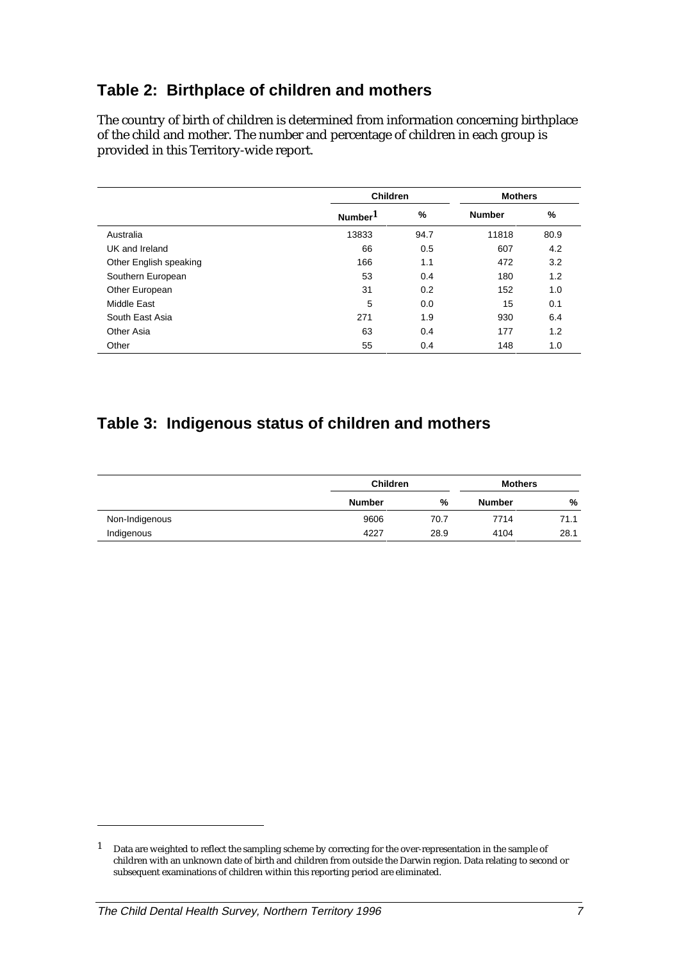## **Table 2: Birthplace of children and mothers**

The country of birth of children is determined from information concerning birthplace of the child and mother. The number and percentage of children in each group is provided in this Territory-wide report.

|                        | <b>Children</b>     | <b>Mothers</b> |               |      |  |
|------------------------|---------------------|----------------|---------------|------|--|
|                        | Number <sup>1</sup> | %              | <b>Number</b> | %    |  |
| Australia              | 13833               | 94.7           | 11818         | 80.9 |  |
| UK and Ireland         | 66                  | 0.5            | 607           | 4.2  |  |
| Other English speaking | 166                 | 1.1            | 472           | 3.2  |  |
| Southern European      | 53                  | 0.4            | 180           | 1.2  |  |
| Other European         | 31                  | 0.2            | 152           | 1.0  |  |
| Middle East            | 5                   | 0.0            | 15            | 0.1  |  |
| South East Asia        | 271                 | 1.9            | 930           | 6.4  |  |
| Other Asia             | 63                  | 0.4            | 177           | 1.2  |  |
| Other                  | 55                  | 0.4            | 148           | 1.0  |  |

## **Table 3: Indigenous status of children and mothers**

|                |               | <b>Children</b> |               | <b>Mothers</b> |
|----------------|---------------|-----------------|---------------|----------------|
|                | <b>Number</b> | %               | <b>Number</b> | %              |
| Non-Indigenous | 9606          | 70.7            | 7714          | 71.1           |
| Indigenous     | 4227          | 28.9            | 4104          | 28.1           |

j

<sup>1</sup> Data are weighted to reflect the sampling scheme by correcting for the over-representation in the sample of children with an unknown date of birth and children from outside the Darwin region. Data relating to second or subsequent examinations of children within this reporting period are eliminated.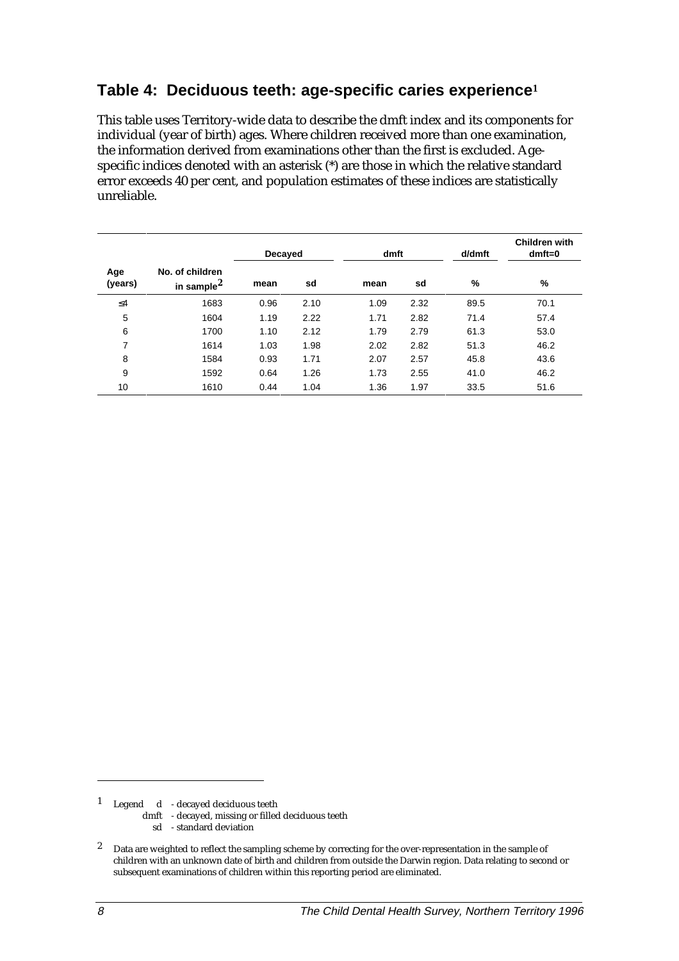## **Table 4: Deciduous teeth: age-specific caries experience<sup>1</sup>**

This table uses Territory-wide data to describe the dmft index and its components for individual (year of birth) ages. Where children received more than one examination, the information derived from examinations other than the first is excluded. Agespecific indices denoted with an asterisk (\*) are those in which the relative standard error exceeds 40 per cent, and population estimates of these indices are statistically unreliable.

|                |                                     | Decayed |      | dmft |      | d/dmft | <b>Children with</b><br>$dmft=0$ |
|----------------|-------------------------------------|---------|------|------|------|--------|----------------------------------|
| Age<br>(years) | No. of children<br>in sample $^2\,$ | mean    | sd   | mean | sd   | %      | %                                |
| $\leq 4$       | 1683                                | 0.96    | 2.10 | 1.09 | 2.32 | 89.5   | 70.1                             |
| 5              | 1604                                | 1.19    | 2.22 | 1.71 | 2.82 | 71.4   | 57.4                             |
| 6              | 1700                                | 1.10    | 2.12 | 1.79 | 2.79 | 61.3   | 53.0                             |
| 7              | 1614                                | 1.03    | 1.98 | 2.02 | 2.82 | 51.3   | 46.2                             |
| 8              | 1584                                | 0.93    | 1.71 | 2.07 | 2.57 | 45.8   | 43.6                             |
| 9              | 1592                                | 0.64    | 1.26 | 1.73 | 2.55 | 41.0   | 46.2                             |
| 10             | 1610                                | 0.44    | 1.04 | 1.36 | 1.97 | 33.5   | 51.6                             |

1 Legend d - decayed deciduous teeth

dmft - decayed, missing or filled deciduous teeth

sd - standard deviation

<sup>2</sup> Data are weighted to reflect the sampling scheme by correcting for the over-representation in the sample of children with an unknown date of birth and children from outside the Darwin region. Data relating to second or subsequent examinations of children within this reporting period are eliminated.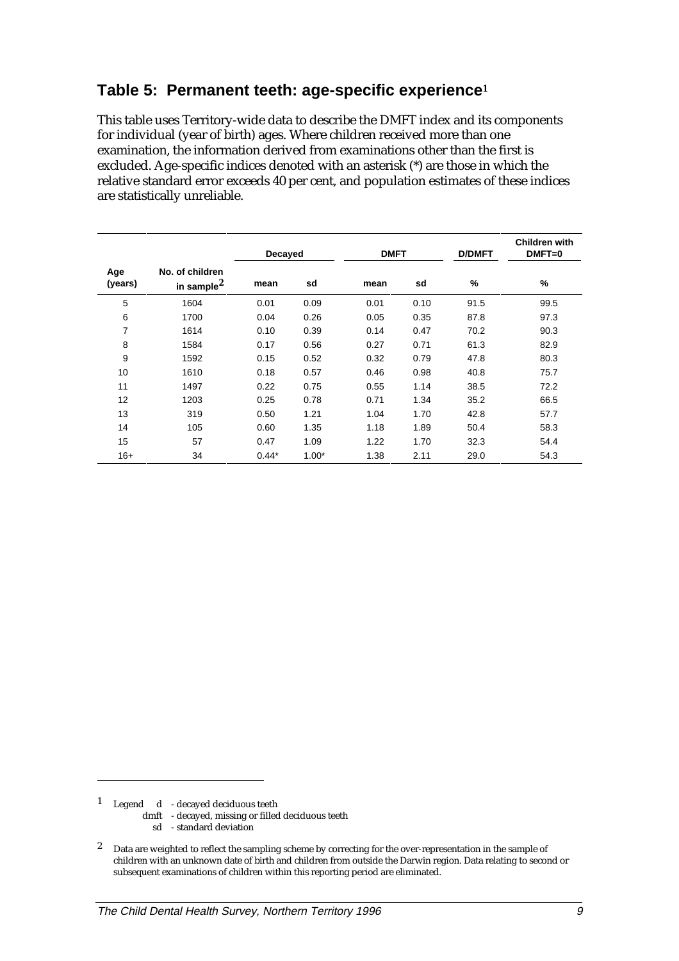## **Table 5: Permanent teeth: age-specific experience<sup>1</sup>**

This table uses Territory-wide data to describe the DMFT index and its components for individual (year of birth) ages. Where children received more than one examination, the information derived from examinations other than the first is excluded. Age-specific indices denoted with an asterisk (\*) are those in which the relative standard error exceeds 40 per cent, and population estimates of these indices are statistically unreliable.

|                |                                   |         | Decayed |      | <b>DMFT</b> |               | <b>Children with</b><br>$DMFT=0$ |
|----------------|-----------------------------------|---------|---------|------|-------------|---------------|----------------------------------|
| Age<br>(years) | No. of children<br>in sample $^2$ | mean    | sd      | mean | sd          | $\frac{9}{6}$ | %                                |
| 5              | 1604                              | 0.01    | 0.09    | 0.01 | 0.10        | 91.5          | 99.5                             |
| 6              | 1700                              | 0.04    | 0.26    | 0.05 | 0.35        | 87.8          | 97.3                             |
| $\overline{7}$ | 1614                              | 0.10    | 0.39    | 0.14 | 0.47        | 70.2          | 90.3                             |
| 8              | 1584                              | 0.17    | 0.56    | 0.27 | 0.71        | 61.3          | 82.9                             |
| 9              | 1592                              | 0.15    | 0.52    | 0.32 | 0.79        | 47.8          | 80.3                             |
| 10             | 1610                              | 0.18    | 0.57    | 0.46 | 0.98        | 40.8          | 75.7                             |
| 11             | 1497                              | 0.22    | 0.75    | 0.55 | 1.14        | 38.5          | 72.2                             |
| 12             | 1203                              | 0.25    | 0.78    | 0.71 | 1.34        | 35.2          | 66.5                             |
| 13             | 319                               | 0.50    | 1.21    | 1.04 | 1.70        | 42.8          | 57.7                             |
| 14             | 105                               | 0.60    | 1.35    | 1.18 | 1.89        | 50.4          | 58.3                             |
| 15             | 57                                | 0.47    | 1.09    | 1.22 | 1.70        | 32.3          | 54.4                             |
| $16+$          | 34                                | $0.44*$ | $1.00*$ | 1.38 | 2.11        | 29.0          | 54.3                             |

1 Legend d - decayed deciduous teeth

1

dmft - decayed, missing or filled deciduous teeth

sd - standard deviation

<sup>2</sup> Data are weighted to reflect the sampling scheme by correcting for the over-representation in the sample of children with an unknown date of birth and children from outside the Darwin region. Data relating to second or subsequent examinations of children within this reporting period are eliminated.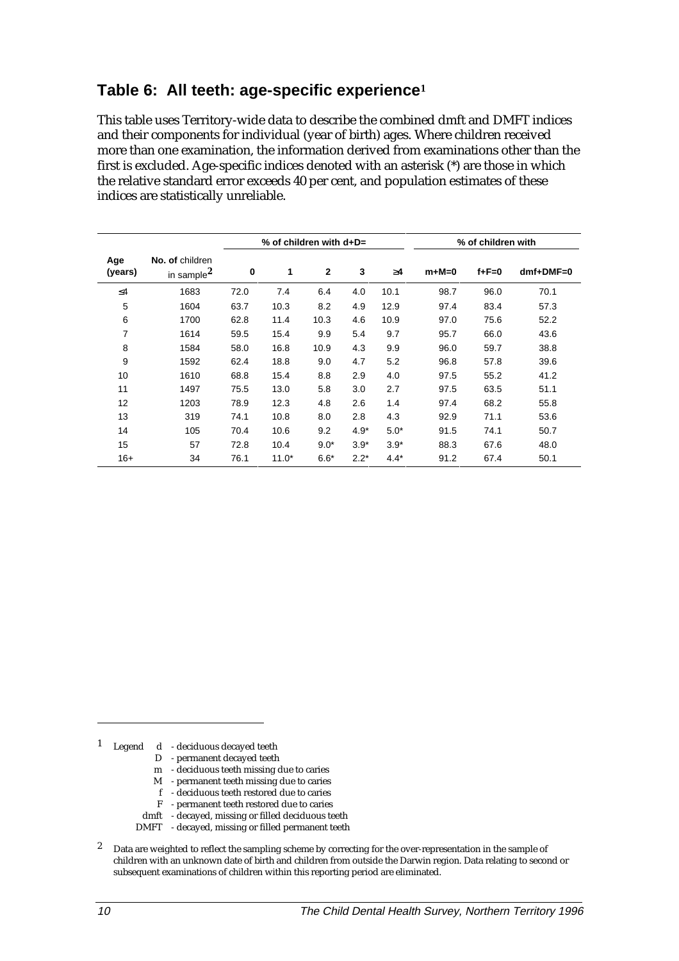## **Table 6: All teeth: age-specific experience<sup>1</sup>**

This table uses Territory-wide data to describe the combined dmft and DMFT indices and their components for individual (year of birth) ages. Where children received more than one examination, the information derived from examinations other than the first is excluded. Age-specific indices denoted with an asterisk (\*) are those in which the relative standard error exceeds 40 per cent, and population estimates of these indices are statistically unreliable.

|                |                                   | % of children with $d+D=$ |         |              |        | % of children with |         |             |             |
|----------------|-----------------------------------|---------------------------|---------|--------------|--------|--------------------|---------|-------------|-------------|
| Age<br>(years) | No. of children<br>in sample $^2$ | 0                         | 1       | $\mathbf{2}$ | 3      | $\geq 4$           | $m+M=0$ | $f + F = 0$ | $dmf+DMF=0$ |
| $\leq 4$       | 1683                              | 72.0                      | 7.4     | 6.4          | 4.0    | 10.1               | 98.7    | 96.0        | 70.1        |
| 5              | 1604                              | 63.7                      | 10.3    | 8.2          | 4.9    | 12.9               | 97.4    | 83.4        | 57.3        |
| 6              | 1700                              | 62.8                      | 11.4    | 10.3         | 4.6    | 10.9               | 97.0    | 75.6        | 52.2        |
| $\overline{7}$ | 1614                              | 59.5                      | 15.4    | 9.9          | 5.4    | 9.7                | 95.7    | 66.0        | 43.6        |
| 8              | 1584                              | 58.0                      | 16.8    | 10.9         | 4.3    | 9.9                | 96.0    | 59.7        | 38.8        |
| 9              | 1592                              | 62.4                      | 18.8    | 9.0          | 4.7    | 5.2                | 96.8    | 57.8        | 39.6        |
| 10             | 1610                              | 68.8                      | 15.4    | 8.8          | 2.9    | 4.0                | 97.5    | 55.2        | 41.2        |
| 11             | 1497                              | 75.5                      | 13.0    | 5.8          | 3.0    | 2.7                | 97.5    | 63.5        | 51.1        |
| 12             | 1203                              | 78.9                      | 12.3    | 4.8          | 2.6    | 1.4                | 97.4    | 68.2        | 55.8        |
| 13             | 319                               | 74.1                      | 10.8    | 8.0          | 2.8    | 4.3                | 92.9    | 71.1        | 53.6        |
| 14             | 105                               | 70.4                      | 10.6    | 9.2          | $4.9*$ | $5.0*$             | 91.5    | 74.1        | 50.7        |
| 15             | 57                                | 72.8                      | 10.4    | $9.0*$       | $3.9*$ | $3.9*$             | 88.3    | 67.6        | 48.0        |
| $16+$          | 34                                | 76.1                      | $11.0*$ | $6.6*$       | $2.2*$ | $4.4*$             | 91.2    | 67.4        | 50.1        |

1 Legend d - deciduous decayed teeth

- D permanent decayed teeth
- m deciduous teeth missing due to caries
- M permanent teeth missing due to caries
- f deciduous teeth restored due to caries
- F permanent teeth restored due to caries
- dmft decayed, missing or filled deciduous teeth
- DMFT decayed, missing or filled permanent teeth
- 2 Data are weighted to reflect the sampling scheme by correcting for the over-representation in the sample of children with an unknown date of birth and children from outside the Darwin region. Data relating to second or subsequent examinations of children within this reporting period are eliminated.

 $\overline{a}$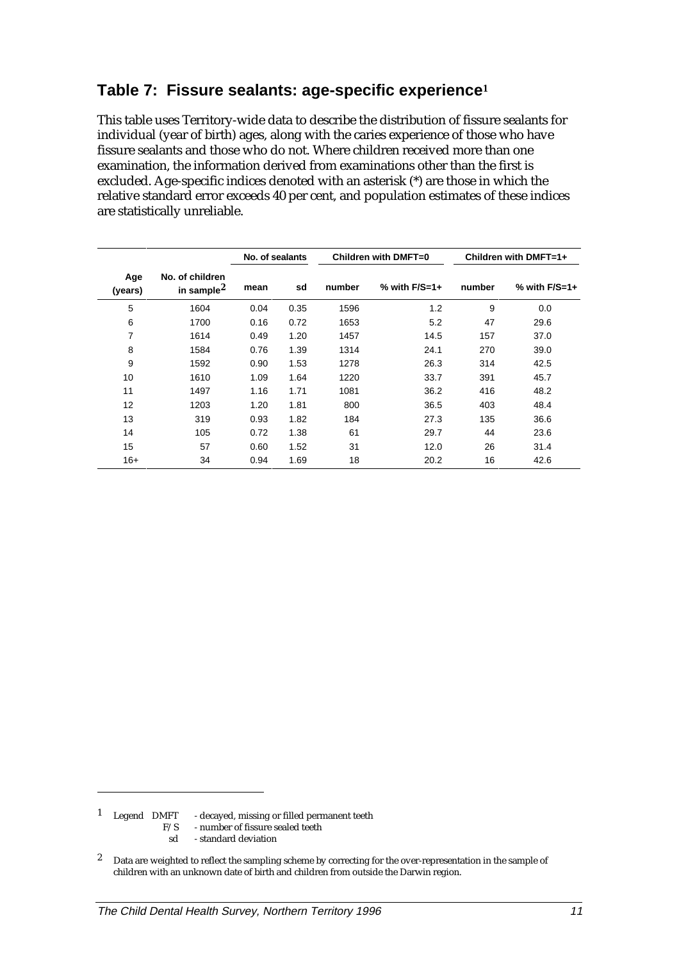## **Table 7: Fissure sealants: age-specific experience<sup>1</sup>**

This table uses Territory-wide data to describe the distribution of fissure sealants for individual (year of birth) ages, along with the caries experience of those who have fissure sealants and those who do not. Where children received more than one examination, the information derived from examinations other than the first is excluded. Age-specific indices denoted with an asterisk (\*) are those in which the relative standard error exceeds 40 per cent, and population estimates of these indices are statistically unreliable.

|                |                                   |      | No. of sealants |        | Children with DMFT=0 | Children with DMFT=1+ |                   |  |
|----------------|-----------------------------------|------|-----------------|--------|----------------------|-----------------------|-------------------|--|
| Age<br>(years) | No. of children<br>in sample $^2$ | mean | sd              | number | % with $F/S=1+$      | number                | $%$ with $F/S=1+$ |  |
| 5              | 1604                              | 0.04 | 0.35            | 1596   | 1.2                  | 9                     | 0.0               |  |
| 6              | 1700                              | 0.16 | 0.72            | 1653   | 5.2                  | 47                    | 29.6              |  |
| $\overline{7}$ | 1614                              | 0.49 | 1.20            | 1457   | 14.5                 | 157                   | 37.0              |  |
| 8              | 1584                              | 0.76 | 1.39            | 1314   | 24.1                 | 270                   | 39.0              |  |
| 9              | 1592                              | 0.90 | 1.53            | 1278   | 26.3                 | 314                   | 42.5              |  |
| 10             | 1610                              | 1.09 | 1.64            | 1220   | 33.7                 | 391                   | 45.7              |  |
| 11             | 1497                              | 1.16 | 1.71            | 1081   | 36.2                 | 416                   | 48.2              |  |
| 12             | 1203                              | 1.20 | 1.81            | 800    | 36.5                 | 403                   | 48.4              |  |
| 13             | 319                               | 0.93 | 1.82            | 184    | 27.3                 | 135                   | 36.6              |  |
| 14             | 105                               | 0.72 | 1.38            | 61     | 29.7                 | 44                    | 23.6              |  |
| 15             | 57                                | 0.60 | 1.52            | 31     | 12.0                 | 26                    | 31.4              |  |
| $16+$          | 34                                | 0.94 | 1.69            | 18     | 20.2                 | 16                    | 42.6              |  |

<sup>1</sup> Legend DMFT - decayed, missing or filled permanent teeth  $F/S$  - number of fissure sealed teeth

- number of fissure sealed teeth
- sd standard deviation

<sup>&</sup>lt;sup>2</sup> Data are weighted to reflect the sampling scheme by correcting for the over-representation in the sample of children with an unknown date of birth and children from outside the Darwin region.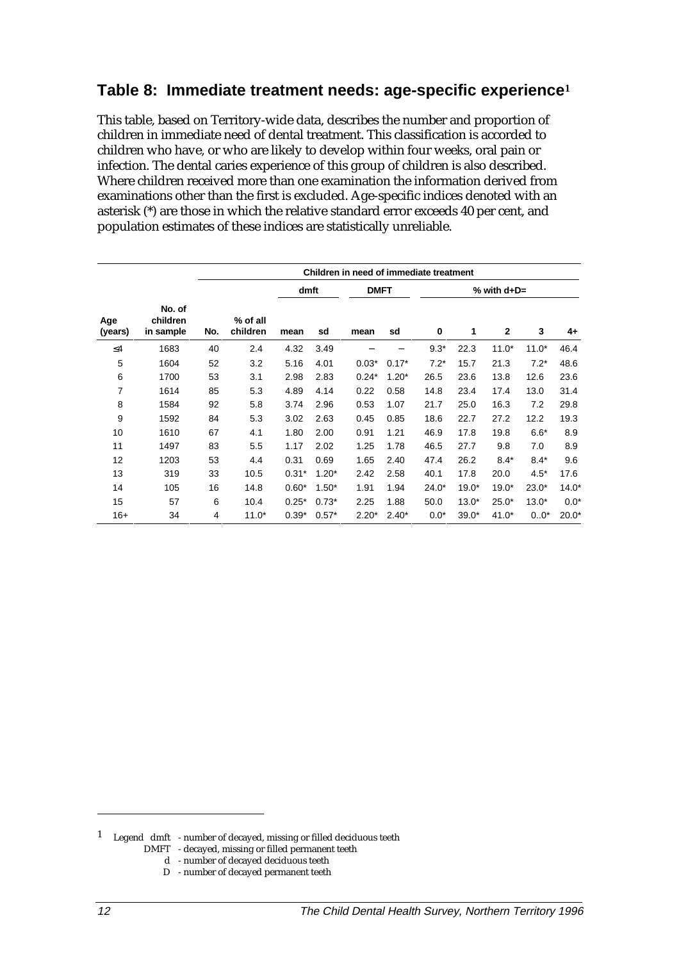## **Table 8: Immediate treatment needs: age-specific experience<sup>1</sup>**

This table, based on Territory-wide data, describes the number and proportion of children in immediate need of dental treatment. This classification is accorded to children who have, or who are likely to develop within four weeks, oral pain or infection. The dental caries experience of this group of children is also described. Where children received more than one examination the information derived from examinations other than the first is excluded. Age-specific indices denoted with an asterisk (\*) are those in which the relative standard error exceeds 40 per cent, and population estimates of these indices are statistically unreliable.

|                |                                 |     | Children in need of immediate treatment |         |         |             |         |               |         |              |         |         |
|----------------|---------------------------------|-----|-----------------------------------------|---------|---------|-------------|---------|---------------|---------|--------------|---------|---------|
|                |                                 |     |                                         | dmft    |         | <b>DMFT</b> |         | % with $d+D=$ |         |              |         |         |
| Age<br>(years) | No. of<br>children<br>in sample | No. | % of all<br>children                    | mean    | sd      | mean        | sd      | 0             | 1       | $\mathbf{2}$ | 3       | 4+      |
| $\leq 4$       | 1683                            | 40  | 2.4                                     | 4.32    | 3.49    |             |         | $9.3*$        | 22.3    | $11.0*$      | $11.0*$ | 46.4    |
| 5              | 1604                            | 52  | 3.2                                     | 5.16    | 4.01    | $0.03*$     | $0.17*$ | $7.2*$        | 15.7    | 21.3         | $7.2*$  | 48.6    |
| 6              | 1700                            | 53  | 3.1                                     | 2.98    | 2.83    | $0.24*$     | $1.20*$ | 26.5          | 23.6    | 13.8         | 12.6    | 23.6    |
| 7              | 1614                            | 85  | 5.3                                     | 4.89    | 4.14    | 0.22        | 0.58    | 14.8          | 23.4    | 17.4         | 13.0    | 31.4    |
| 8              | 1584                            | 92  | 5.8                                     | 3.74    | 2.96    | 0.53        | 1.07    | 21.7          | 25.0    | 16.3         | 7.2     | 29.8    |
| 9              | 1592                            | 84  | 5.3                                     | 3.02    | 2.63    | 0.45        | 0.85    | 18.6          | 22.7    | 27.2         | 12.2    | 19.3    |
| 10             | 1610                            | 67  | 4.1                                     | 1.80    | 2.00    | 0.91        | 1.21    | 46.9          | 17.8    | 19.8         | $6.6*$  | 8.9     |
| 11             | 1497                            | 83  | 5.5                                     | 1.17    | 2.02    | 1.25        | 1.78    | 46.5          | 27.7    | 9.8          | 7.0     | 8.9     |
| 12             | 1203                            | 53  | 4.4                                     | 0.31    | 0.69    | 1.65        | 2.40    | 47.4          | 26.2    | $8.4*$       | $8.4*$  | 9.6     |
| 13             | 319                             | 33  | 10.5                                    | $0.31*$ | $1.20*$ | 2.42        | 2.58    | 40.1          | 17.8    | 20.0         | $4.5*$  | 17.6    |
| 14             | 105                             | 16  | 14.8                                    | $0.60*$ | $1.50*$ | 1.91        | 1.94    | $24.0*$       | $19.0*$ | $19.0*$      | $23.0*$ | $14.0*$ |
| 15             | 57                              | 6   | 10.4                                    | $0.25*$ | $0.73*$ | 2.25        | 1.88    | 50.0          | $13.0*$ | $25.0*$      | $13.0*$ | $0.0*$  |
| $16+$          | 34                              | 4   | $11.0*$                                 | $0.39*$ | $0.57*$ | $2.20*$     | $2.40*$ | $0.0*$        | $39.0*$ | $41.0*$      | $0.0*$  | $20.0*$ |

- d number of decayed deciduous teeth
- D number of decayed permanent teeth

j

 $1$  Legend  $\,$  dmft  $\,$  - number of decayed, missing or filled deciduous teeth DMFT - decayed, missing or filled permanent teeth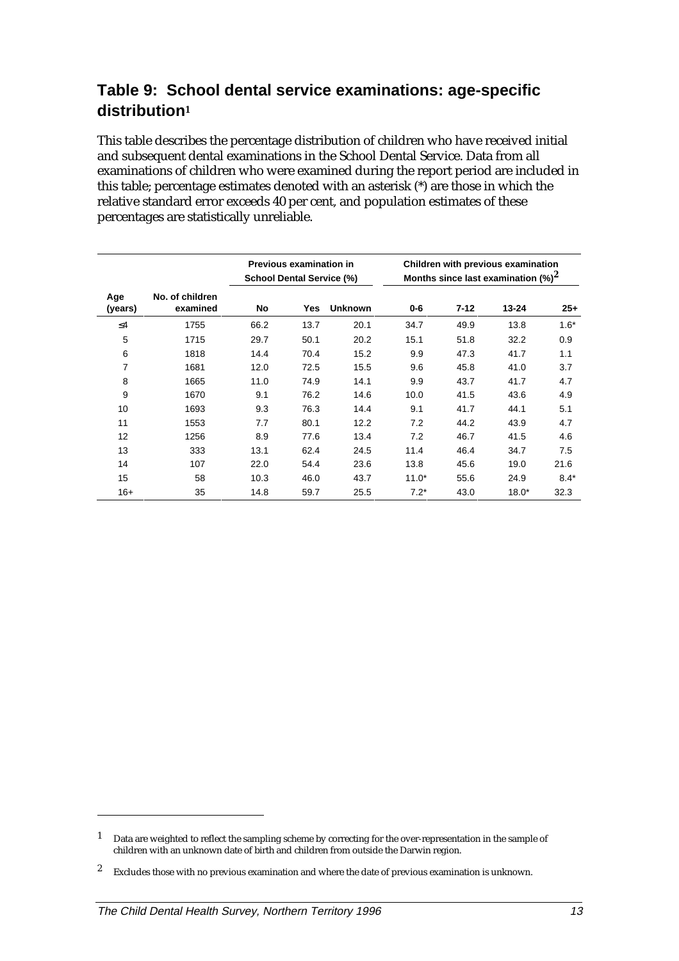## **Table 9: School dental service examinations: age-specific distribution<sup>1</sup>**

This table describes the percentage distribution of children who have received initial and subsequent dental examinations in the School Dental Service. Data from all examinations of children who were examined during the report period are included in this table; percentage estimates denoted with an asterisk (\*) are those in which the relative standard error exceeds 40 per cent, and population estimates of these percentages are statistically unreliable.

|                |                             | <b>School Dental Service (%)</b> | Previous examination in |                | Children with previous examination<br>Months since last examination $(\%)^2$ |          |           |        |  |
|----------------|-----------------------------|----------------------------------|-------------------------|----------------|------------------------------------------------------------------------------|----------|-----------|--------|--|
| Age<br>(years) | No. of children<br>examined | No                               | Yes                     | <b>Unknown</b> | 0-6                                                                          | $7 - 12$ | $13 - 24$ | $25+$  |  |
| $\leq$ 4       | 1755                        | 66.2                             | 13.7                    | 20.1           | 34.7                                                                         | 49.9     | 13.8      | $1.6*$ |  |
| 5              | 1715                        | 29.7                             | 50.1                    | 20.2           | 15.1                                                                         | 51.8     | 32.2      | 0.9    |  |
| 6              | 1818                        | 14.4                             | 70.4                    | 15.2           | 9.9                                                                          | 47.3     | 41.7      | 1.1    |  |
| 7              | 1681                        | 12.0                             | 72.5                    | 15.5           | 9.6                                                                          | 45.8     | 41.0      | 3.7    |  |
| 8              | 1665                        | 11.0                             | 74.9                    | 14.1           | 9.9                                                                          | 43.7     | 41.7      | 4.7    |  |
| 9              | 1670                        | 9.1                              | 76.2                    | 14.6           | 10.0                                                                         | 41.5     | 43.6      | 4.9    |  |
| 10             | 1693                        | 9.3                              | 76.3                    | 14.4           | 9.1                                                                          | 41.7     | 44.1      | 5.1    |  |
| 11             | 1553                        | 7.7                              | 80.1                    | 12.2           | 7.2                                                                          | 44.2     | 43.9      | 4.7    |  |
| 12             | 1256                        | 8.9                              | 77.6                    | 13.4           | 7.2                                                                          | 46.7     | 41.5      | 4.6    |  |
| 13             | 333                         | 13.1                             | 62.4                    | 24.5           | 11.4                                                                         | 46.4     | 34.7      | 7.5    |  |
| 14             | 107                         | 22.0                             | 54.4                    | 23.6           | 13.8                                                                         | 45.6     | 19.0      | 21.6   |  |
| 15             | 58                          | 10.3                             | 46.0                    | 43.7           | $11.0*$                                                                      | 55.6     | 24.9      | $8.4*$ |  |
| $16+$          | 35                          | 14.8                             | 59.7                    | 25.5           | $7.2*$                                                                       | 43.0     | $18.0*$   | 32.3   |  |

j

<sup>&</sup>lt;sup>1</sup> Data are weighted to reflect the sampling scheme by correcting for the over-representation in the sample of children with an unknown date of birth and children from outside the Darwin region.

<sup>&</sup>lt;sup>2</sup> Excludes those with no previous examination and where the date of previous examination is unknown.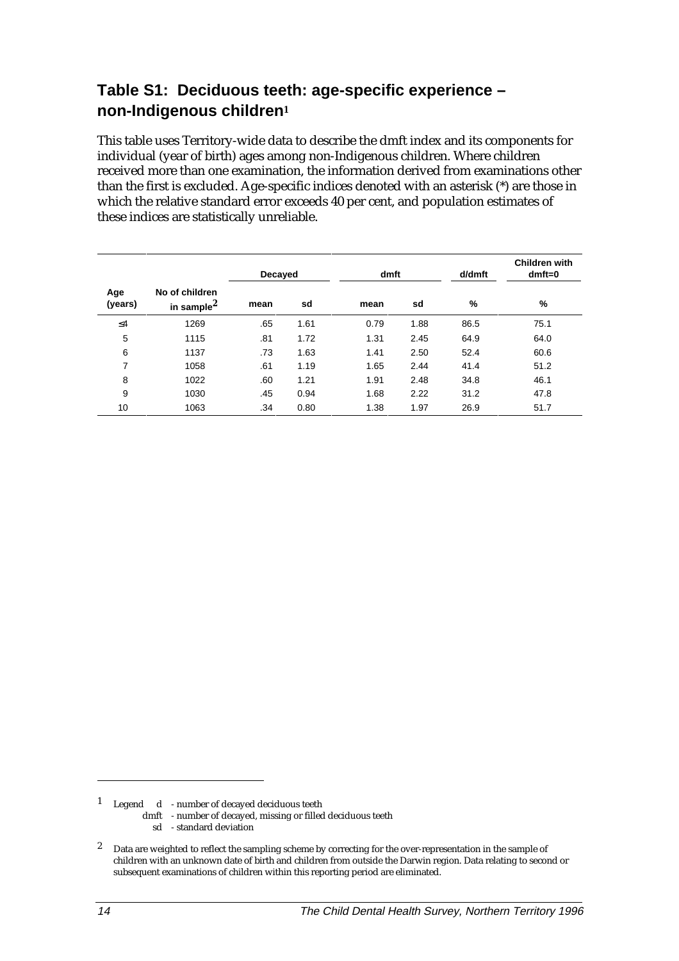## **Table S1: Deciduous teeth: age-specific experience – non-Indigenous children<sup>1</sup>**

This table uses Territory-wide data to describe the dmft index and its components for individual (year of birth) ages among non-Indigenous children. Where children received more than one examination, the information derived from examinations other than the first is excluded. Age-specific indices denoted with an asterisk (\*) are those in which the relative standard error exceeds 40 per cent, and population estimates of these indices are statistically unreliable.

|                |                                    | Decayed |      | dmft |      | d/dmft | <b>Children with</b><br>$dmft=0$ |
|----------------|------------------------------------|---------|------|------|------|--------|----------------------------------|
| Age<br>(years) | No of children<br>in sample $^2\,$ | mean    | sd   | mean | sd   | %      | %                                |
| $\leq 4$       | 1269                               | .65     | 1.61 | 0.79 | 1.88 | 86.5   | 75.1                             |
| 5              | 1115                               | .81     | 1.72 | 1.31 | 2.45 | 64.9   | 64.0                             |
| 6              | 1137                               | .73     | 1.63 | 1.41 | 2.50 | 52.4   | 60.6                             |
| 7              | 1058                               | .61     | 1.19 | 1.65 | 2.44 | 41.4   | 51.2                             |
| 8              | 1022                               | .60     | 1.21 | 1.91 | 2.48 | 34.8   | 46.1                             |
| 9              | 1030                               | .45     | 0.94 | 1.68 | 2.22 | 31.2   | 47.8                             |
| 10             | 1063                               | .34     | 0.80 | 1.38 | 1.97 | 26.9   | 51.7                             |

1 Legend d - number of decayed deciduous teeth

dmft - number of decayed, missing or filled deciduous teeth

sd - standard deviation

<sup>2</sup> Data are weighted to reflect the sampling scheme by correcting for the over-representation in the sample of children with an unknown date of birth and children from outside the Darwin region. Data relating to second or subsequent examinations of children within this reporting period are eliminated.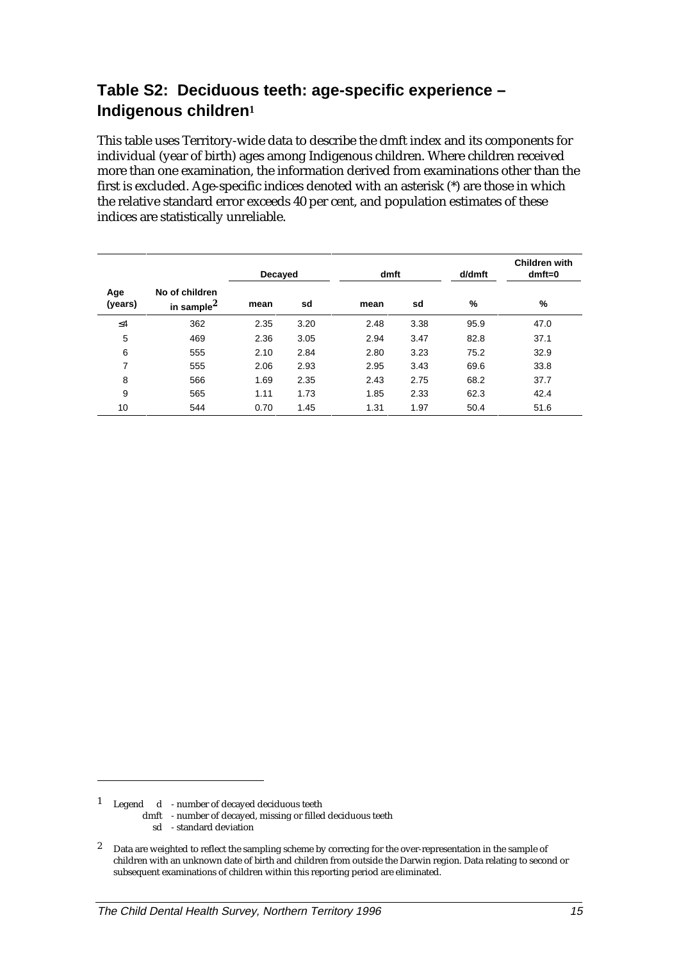## **Table S2: Deciduous teeth: age-specific experience – Indigenous children<sup>1</sup>**

This table uses Territory-wide data to describe the dmft index and its components for individual (year of birth) ages among Indigenous children. Where children received more than one examination, the information derived from examinations other than the first is excluded. Age-specific indices denoted with an asterisk (\*) are those in which the relative standard error exceeds 40 per cent, and population estimates of these indices are statistically unreliable.

|                |                                    | Decayed |      | dmft |      | d/dmft | <b>Children with</b><br>$dmft=0$ |
|----------------|------------------------------------|---------|------|------|------|--------|----------------------------------|
| Age<br>(years) | No of children<br>in sample $^2\,$ | mean    | sd   | mean | sd   | %      | %                                |
| $\leq 4$       | 362                                | 2.35    | 3.20 | 2.48 | 3.38 | 95.9   | 47.0                             |
| 5              | 469                                | 2.36    | 3.05 | 2.94 | 3.47 | 82.8   | 37.1                             |
| 6              | 555                                | 2.10    | 2.84 | 2.80 | 3.23 | 75.2   | 32.9                             |
| 7              | 555                                | 2.06    | 2.93 | 2.95 | 3.43 | 69.6   | 33.8                             |
| 8              | 566                                | 1.69    | 2.35 | 2.43 | 2.75 | 68.2   | 37.7                             |
| 9              | 565                                | 1.11    | 1.73 | 1.85 | 2.33 | 62.3   | 42.4                             |
| 10             | 544                                | 0.70    | 1.45 | 1.31 | 1.97 | 50.4   | 51.6                             |

1 Legend d - number of decayed deciduous teeth

dmft - number of decayed, missing or filled deciduous teeth

sd - standard deviation

<sup>2</sup> Data are weighted to reflect the sampling scheme by correcting for the over-representation in the sample of children with an unknown date of birth and children from outside the Darwin region. Data relating to second or subsequent examinations of children within this reporting period are eliminated.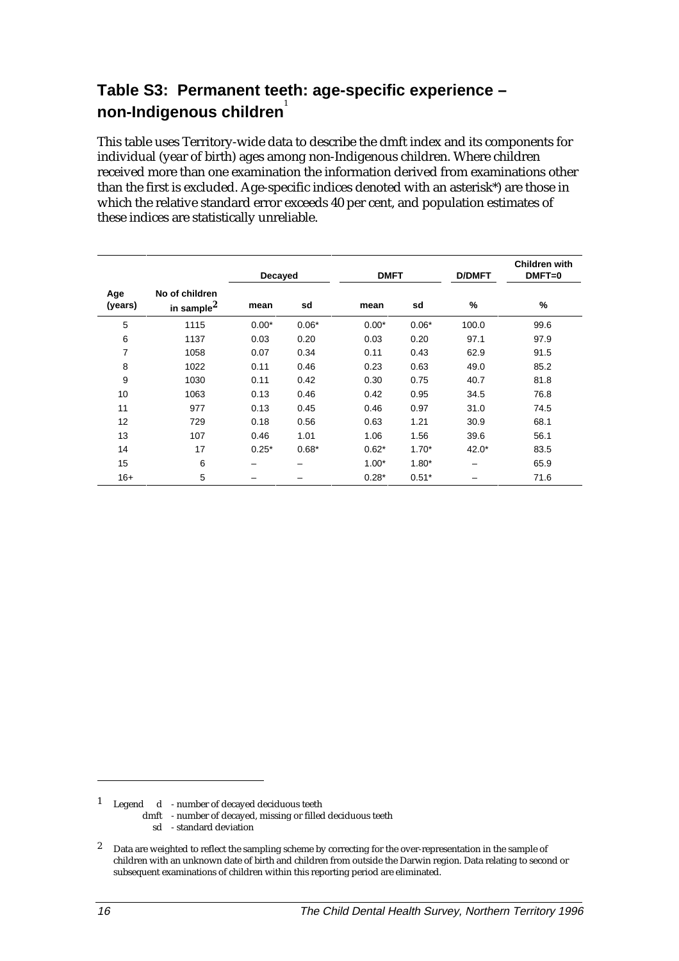## **Table S3: Permanent teeth: age-specific experience – non-Indigenous children**<sup>1</sup>

This table uses Territory-wide data to describe the dmft index and its components for individual (year of birth) ages among non-Indigenous children. Where children received more than one examination the information derived from examinations other than the first is excluded. Age-specific indices denoted with an asterisk\*) are those in which the relative standard error exceeds 40 per cent, and population estimates of these indices are statistically unreliable.

|                |                                          | Decayed |         | <b>DMFT</b> |         | <b>D/DMFT</b> | <b>Children with</b><br>$DMFT=0$ |
|----------------|------------------------------------------|---------|---------|-------------|---------|---------------|----------------------------------|
| Age<br>(years) | No of children<br>in sample <sup>2</sup> | mean    | sd      | mean        | sd      | $\%$          | $\%$                             |
| 5              | 1115                                     | $0.00*$ | $0.06*$ | $0.00*$     | $0.06*$ | 100.0         | 99.6                             |
| 6              | 1137                                     | 0.03    | 0.20    | 0.03        | 0.20    | 97.1          | 97.9                             |
| 7              | 1058                                     | 0.07    | 0.34    | 0.11        | 0.43    | 62.9          | 91.5                             |
| 8              | 1022                                     | 0.11    | 0.46    | 0.23        | 0.63    | 49.0          | 85.2                             |
| 9              | 1030                                     | 0.11    | 0.42    | 0.30        | 0.75    | 40.7          | 81.8                             |
| 10             | 1063                                     | 0.13    | 0.46    | 0.42        | 0.95    | 34.5          | 76.8                             |
| 11             | 977                                      | 0.13    | 0.45    | 0.46        | 0.97    | 31.0          | 74.5                             |
| 12             | 729                                      | 0.18    | 0.56    | 0.63        | 1.21    | 30.9          | 68.1                             |
| 13             | 107                                      | 0.46    | 1.01    | 1.06        | 1.56    | 39.6          | 56.1                             |
| 14             | 17                                       | $0.25*$ | $0.68*$ | $0.62*$     | $1.70*$ | $42.0*$       | 83.5                             |
| 15             | 6                                        |         |         | $1.00*$     | $1.80*$ |               | 65.9                             |
| $16+$          | 5                                        |         |         | $0.28*$     | $0.51*$ |               | 71.6                             |

1 Legend d - number of decayed deciduous teeth

- dmft number of decayed, missing or filled deciduous teeth
	- sd standard deviation

<sup>2</sup> Data are weighted to reflect the sampling scheme by correcting for the over-representation in the sample of children with an unknown date of birth and children from outside the Darwin region. Data relating to second or subsequent examinations of children within this reporting period are eliminated.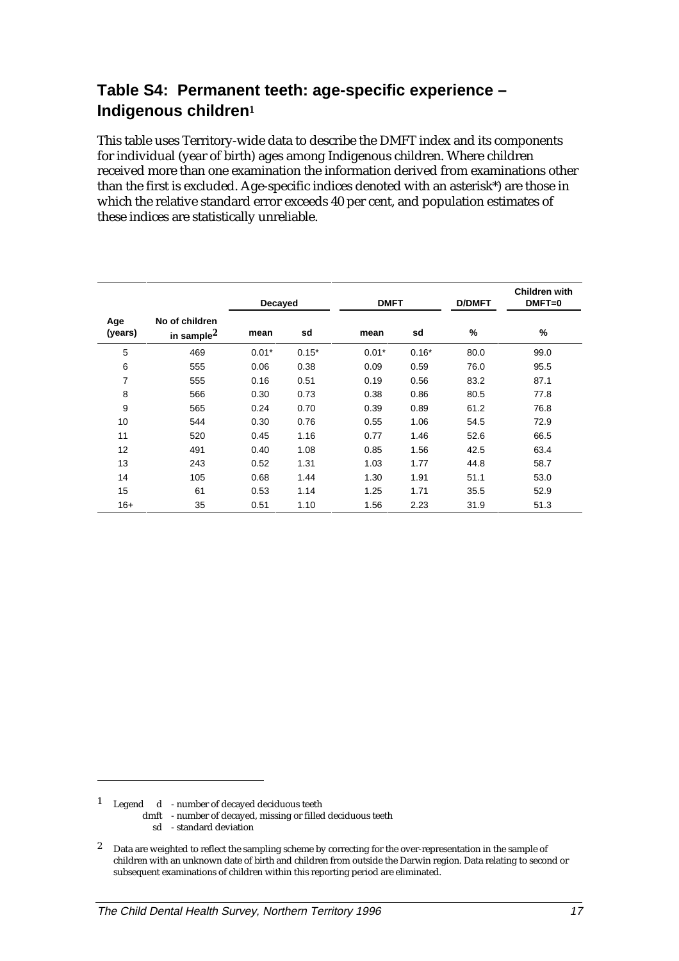## **Table S4: Permanent teeth: age-specific experience – Indigenous children<sup>1</sup>**

This table uses Territory-wide data to describe the DMFT index and its components for individual (year of birth) ages among Indigenous children. Where children received more than one examination the information derived from examinations other than the first is excluded. Age-specific indices denoted with an asterisk\*) are those in which the relative standard error exceeds 40 per cent, and population estimates of these indices are statistically unreliable.

|                |                                          | Decayed |         | <b>DMFT</b> |         |      |      | <b>D/DMFT</b> | Children with<br>$DMFT=0$ |
|----------------|------------------------------------------|---------|---------|-------------|---------|------|------|---------------|---------------------------|
| Age<br>(years) | No of children<br>in sample <sup>2</sup> | mean    | sd      | mean        | sd      | %    | %    |               |                           |
| 5              | 469                                      | $0.01*$ | $0.15*$ | $0.01*$     | $0.16*$ | 80.0 | 99.0 |               |                           |
| 6              | 555                                      | 0.06    | 0.38    | 0.09        | 0.59    | 76.0 | 95.5 |               |                           |
| $\overline{7}$ | 555                                      | 0.16    | 0.51    | 0.19        | 0.56    | 83.2 | 87.1 |               |                           |
| 8              | 566                                      | 0.30    | 0.73    | 0.38        | 0.86    | 80.5 | 77.8 |               |                           |
| 9              | 565                                      | 0.24    | 0.70    | 0.39        | 0.89    | 61.2 | 76.8 |               |                           |
| 10             | 544                                      | 0.30    | 0.76    | 0.55        | 1.06    | 54.5 | 72.9 |               |                           |
| 11             | 520                                      | 0.45    | 1.16    | 0.77        | 1.46    | 52.6 | 66.5 |               |                           |
| 12             | 491                                      | 0.40    | 1.08    | 0.85        | 1.56    | 42.5 | 63.4 |               |                           |
| 13             | 243                                      | 0.52    | 1.31    | 1.03        | 1.77    | 44.8 | 58.7 |               |                           |
| 14             | 105                                      | 0.68    | 1.44    | 1.30        | 1.91    | 51.1 | 53.0 |               |                           |
| 15             | 61                                       | 0.53    | 1.14    | 1.25        | 1.71    | 35.5 | 52.9 |               |                           |
| $16+$          | 35                                       | 0.51    | 1.10    | 1.56        | 2.23    | 31.9 | 51.3 |               |                           |

1 Legend d - number of decayed deciduous teeth

dmft - number of decayed, missing or filled deciduous teeth

sd - standard deviation

<sup>2</sup> Data are weighted to reflect the sampling scheme by correcting for the over-representation in the sample of children with an unknown date of birth and children from outside the Darwin region. Data relating to second or subsequent examinations of children within this reporting period are eliminated.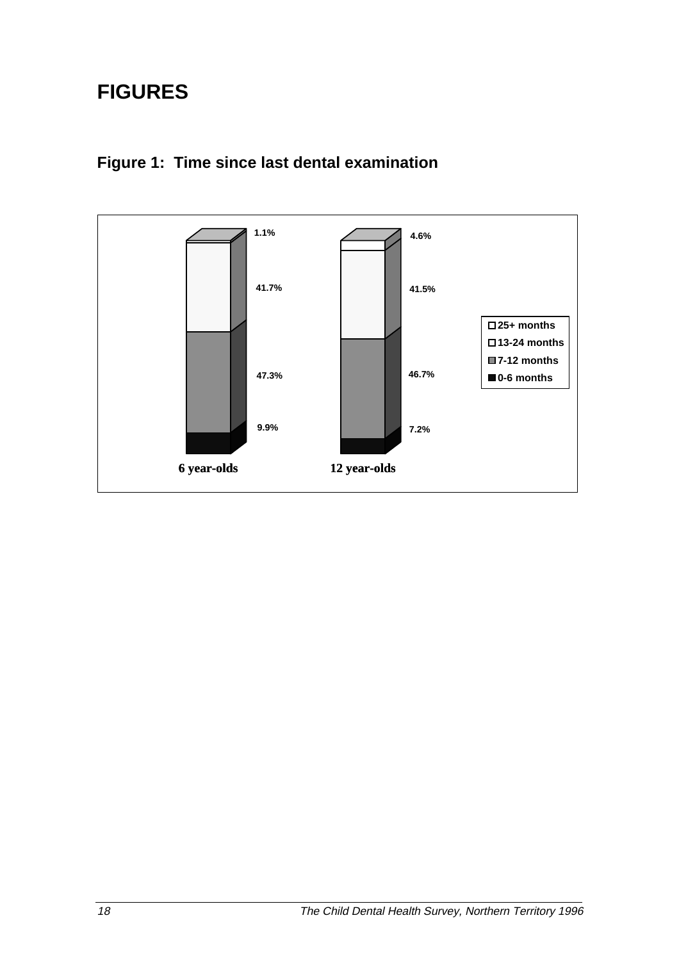## **FIGURES**



## **Figure 1: Time since last dental examination**